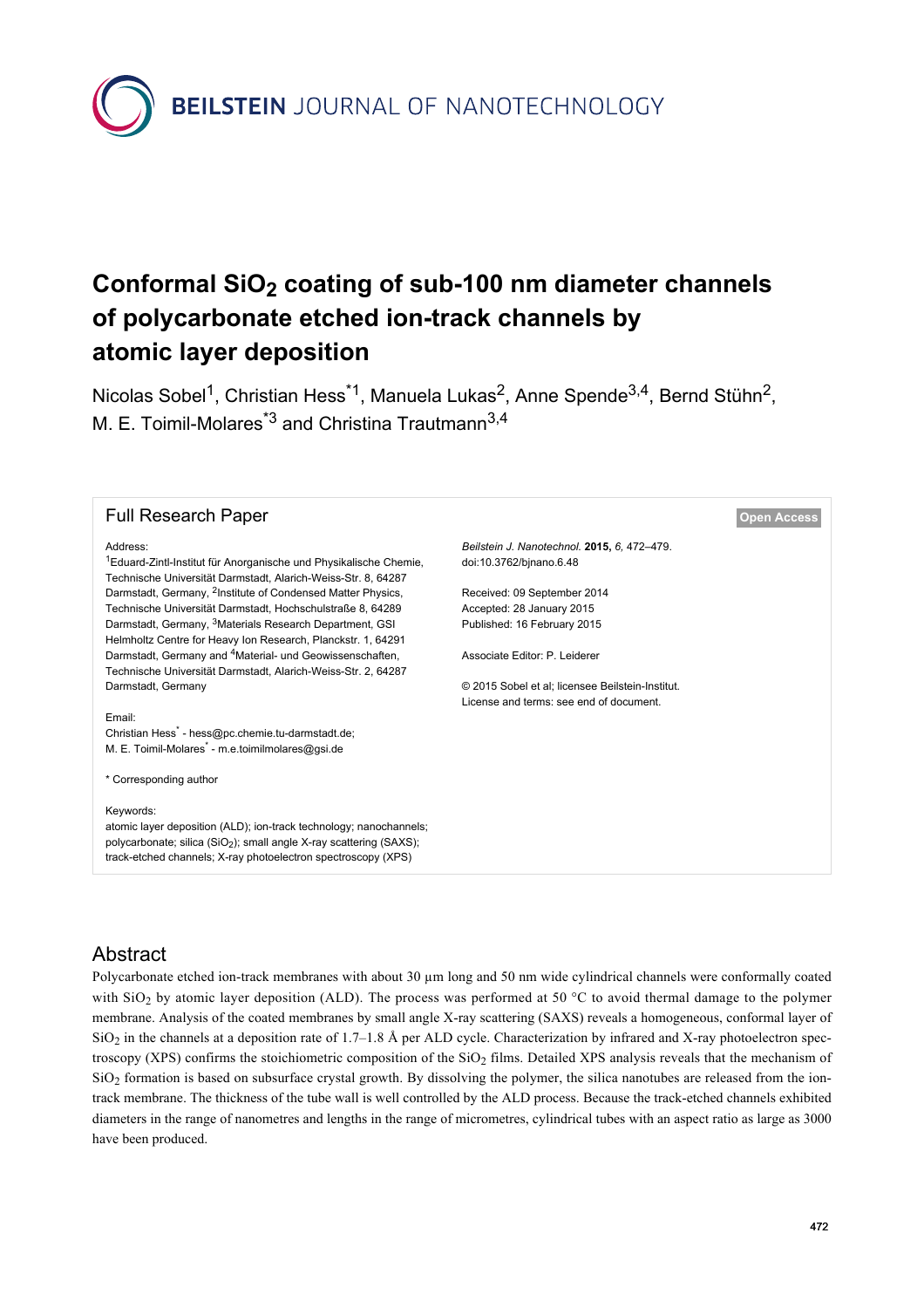**BEILSTEIN** JOURNAL OF NANOTECHNOLOGY

# **Conformal SiO2 coating of sub-100 nm diameter channels of polycarbonate etched ion-track channels by atomic layer deposition**

Nicolas Sobel<sup>1</sup>, Christian Hess<sup>\*1</sup>, Manuela Lukas<sup>2</sup>, Anne Spende<sup>3,4</sup>, Bernd Stühn<sup>2</sup>, M. E. Toimil-Molares<sup>\*3</sup> and Christina Trautmann<sup>3,4</sup>

| <b>Full Research Paper</b>                                                                                                                                                                                                          |                                                                        | <b>Open Access</b> |
|-------------------------------------------------------------------------------------------------------------------------------------------------------------------------------------------------------------------------------------|------------------------------------------------------------------------|--------------------|
| Address:<br><sup>1</sup> Eduard-Zintl-Institut für Anorganische und Physikalische Chemie,<br>Technische Universität Darmstadt, Alarich-Weiss-Str. 8, 64287                                                                          | Beilstein J. Nanotechnol. 2015, 6, 472-479.<br>doi:10.3762/binano.6.48 |                    |
| Darmstadt, Germany, <sup>2</sup> Institute of Condensed Matter Physics,                                                                                                                                                             | Received: 09 September 2014                                            |                    |
| Technische Universität Darmstadt, Hochschulstraße 8, 64289                                                                                                                                                                          | Accepted: 28 January 2015                                              |                    |
| Darmstadt, Germany, <sup>3</sup> Materials Research Department, GSI                                                                                                                                                                 | Published: 16 February 2015                                            |                    |
| Helmholtz Centre for Heavy Ion Research, Planckstr. 1, 64291                                                                                                                                                                        |                                                                        |                    |
| Darmstadt, Germany and <sup>4</sup> Material- und Geowissenschaften,                                                                                                                                                                | Associate Editor: P. Leiderer                                          |                    |
| Technische Universität Darmstadt, Alarich-Weiss-Str. 2, 64287                                                                                                                                                                       |                                                                        |                    |
| Darmstadt, Germany                                                                                                                                                                                                                  | © 2015 Sobel et al: licensee Beilstein-Institut.                       |                    |
|                                                                                                                                                                                                                                     | License and terms: see end of document.                                |                    |
| Email:                                                                                                                                                                                                                              |                                                                        |                    |
| Christian Hess <sup>*</sup> - hess@pc.chemie.tu-darmstadt.de;                                                                                                                                                                       |                                                                        |                    |
| M. E. Toimil-Molares <sup>*</sup> - m.e.toimilmolares@gsi.de                                                                                                                                                                        |                                                                        |                    |
|                                                                                                                                                                                                                                     |                                                                        |                    |
| * Corresponding author                                                                                                                                                                                                              |                                                                        |                    |
|                                                                                                                                                                                                                                     |                                                                        |                    |
| Keywords:<br>atomic layer deposition (ALD); ion-track technology; nanochannels;<br>polycarbonate; silica (SiO <sub>2</sub> ); small angle X-ray scattering (SAXS);<br>track-etched channels; X-ray photoelectron spectroscopy (XPS) |                                                                        |                    |

# Abstract

Polycarbonate etched ion-track membranes with about 30 µm long and 50 nm wide cylindrical channels were conformally coated with  $SiO<sub>2</sub>$  by atomic layer deposition (ALD). The process was performed at 50 °C to avoid thermal damage to the polymer membrane. Analysis of the coated membranes by small angle X-ray scattering (SAXS) reveals a homogeneous, conformal layer of  $SiO<sub>2</sub>$  in the channels at a deposition rate of 1.7–1.8 Å per ALD cycle. Characterization by infrared and X-ray photoelectron spectroscopy (XPS) confirms the stoichiometric composition of the SiO<sub>2</sub> films. Detailed XPS analysis reveals that the mechanism of  $SiO<sub>2</sub>$  formation is based on subsurface crystal growth. By dissolving the polymer, the silica nanotubes are released from the iontrack membrane. The thickness of the tube wall is well controlled by the ALD process. Because the track-etched channels exhibited diameters in the range of nanometres and lengths in the range of micrometres, cylindrical tubes with an aspect ratio as large as 3000 have been produced.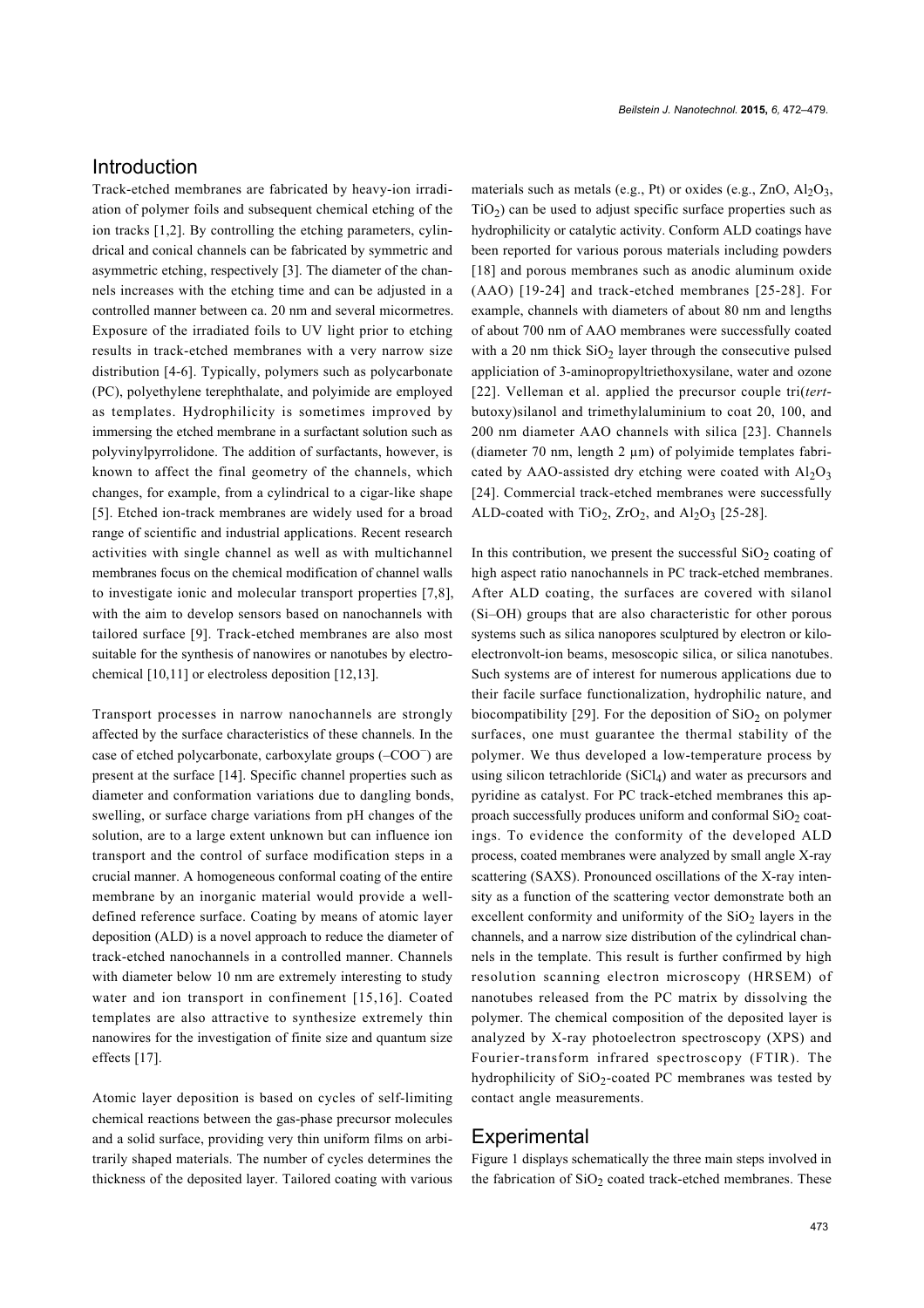# Introduction

Track-etched membranes are fabricated by heavy-ion irradiation of polymer foils and subsequent chemical etching of the ion tracks [\[1,2\]](#page-6-0). By controlling the etching parameters, cylindrical and conical channels can be fabricated by symmetric and asymmetric etching, respectively [\[3\]](#page-6-1). The diameter of the channels increases with the etching time and can be adjusted in a controlled manner between ca. 20 nm and several micormetres. Exposure of the irradiated foils to UV light prior to etching results in track-etched membranes with a very narrow size distribution [\[4-6\]](#page-6-2). Typically, polymers such as polycarbonate (PC), polyethylene terephthalate, and polyimide are employed as templates. Hydrophilicity is sometimes improved by immersing the etched membrane in a surfactant solution such as polyvinylpyrrolidone. The addition of surfactants, however, is known to affect the final geometry of the channels, which changes, for example, from a cylindrical to a cigar-like shape [\[5\]](#page-6-3). Etched ion-track membranes are widely used for a broad range of scientific and industrial applications. Recent research activities with single channel as well as with multichannel membranes focus on the chemical modification of channel walls to investigate ionic and molecular transport properties [\[7,8\]](#page-6-4), with the aim to develop sensors based on nanochannels with tailored surface [\[9\]](#page-6-5). Track-etched membranes are also most suitable for the synthesis of nanowires or nanotubes by electrochemical [\[10,11\]](#page-6-6) or electroless deposition [\[12,13\].](#page-6-7)

Transport processes in narrow nanochannels are strongly affected by the surface characteristics of these channels. In the case of etched polycarbonate, carboxylate groups (–COO<sup>−</sup> ) are present at the surface [\[14\]](#page-6-8). Specific channel properties such as diameter and conformation variations due to dangling bonds, swelling, or surface charge variations from pH changes of the solution, are to a large extent unknown but can influence ion transport and the control of surface modification steps in a crucial manner. A homogeneous conformal coating of the entire membrane by an inorganic material would provide a welldefined reference surface. Coating by means of atomic layer deposition (ALD) is a novel approach to reduce the diameter of track-etched nanochannels in a controlled manner. Channels with diameter below 10 nm are extremely interesting to study water and ion transport in confinement [\[15,16\]](#page-6-9). Coated templates are also attractive to synthesize extremely thin nanowires for the investigation of finite size and quantum size effects [\[17\]](#page-6-10).

Atomic layer deposition is based on cycles of self-limiting chemical reactions between the gas-phase precursor molecules and a solid surface, providing very thin uniform films on arbitrarily shaped materials. The number of cycles determines the thickness of the deposited layer. Tailored coating with various materials such as metals (e.g., Pt) or oxides (e.g., ZnO,  $Al_2O_3$ ,  $TiO<sub>2</sub>$ ) can be used to adjust specific surface properties such as hydrophilicity or catalytic activity. Conform ALD coatings have been reported for various porous materials including powders [\[18\]](#page-6-11) and porous membranes such as anodic aluminum oxide (AAO) [\[19-24\]](#page-6-12) and track-etched membranes [\[25-28\]](#page-7-0). For example, channels with diameters of about 80 nm and lengths of about 700 nm of AAO membranes were successfully coated with a 20 nm thick  $SiO<sub>2</sub>$  layer through the consecutive pulsed appliciation of 3-aminopropyltriethoxysilane, water and ozone [\[22\].](#page-7-1) Velleman et al. applied the precursor couple tri(*tert*butoxy)silanol and trimethylaluminium to coat 20, 100, and 200 nm diameter AAO channels with silica [\[23\]](#page-7-2). Channels (diameter 70 nm, length 2 µm) of polyimide templates fabricated by AAO-assisted dry etching were coated with  $Al_2O_3$ [\[24\]](#page-7-3). Commercial track-etched membranes were successfully ALD-coated with  $TiO<sub>2</sub>$ ,  $ZrO<sub>2</sub>$ , and  $Al<sub>2</sub>O<sub>3</sub>$  [\[25-28\]](#page-7-0).

In this contribution, we present the successful  $SiO<sub>2</sub>$  coating of high aspect ratio nanochannels in PC track-etched membranes. After ALD coating, the surfaces are covered with silanol (Si–OH) groups that are also characteristic for other porous systems such as silica nanopores sculptured by electron or kiloelectronvolt-ion beams, mesoscopic silica, or silica nanotubes. Such systems are of interest for numerous applications due to their facile surface functionalization, hydrophilic nature, and biocompatibility [\[29\].](#page-7-4) For the deposition of  $SiO<sub>2</sub>$  on polymer surfaces, one must guarantee the thermal stability of the polymer. We thus developed a low-temperature process by using silicon tetrachloride  $(SiCl<sub>4</sub>)$  and water as precursors and pyridine as catalyst. For PC track-etched membranes this approach successfully produces uniform and conformal  $SiO<sub>2</sub>$  coatings. To evidence the conformity of the developed ALD process, coated membranes were analyzed by small angle X-ray scattering (SAXS). Pronounced oscillations of the X-ray intensity as a function of the scattering vector demonstrate both an excellent conformity and uniformity of the  $SiO<sub>2</sub>$  layers in the channels, and a narrow size distribution of the cylindrical channels in the template. This result is further confirmed by high resolution scanning electron microscopy (HRSEM) of nanotubes released from the PC matrix by dissolving the polymer. The chemical composition of the deposited layer is analyzed by X-ray photoelectron spectroscopy (XPS) and Fourier-transform infrared spectroscopy (FTIR). The hydrophilicity of  $SiO_2$ -coated PC membranes was tested by contact angle measurements.

### **Experimental**

[Figure 1](#page-2-0) displays schematically the three main steps involved in the fabrication of  $SiO<sub>2</sub>$  coated track-etched membranes. These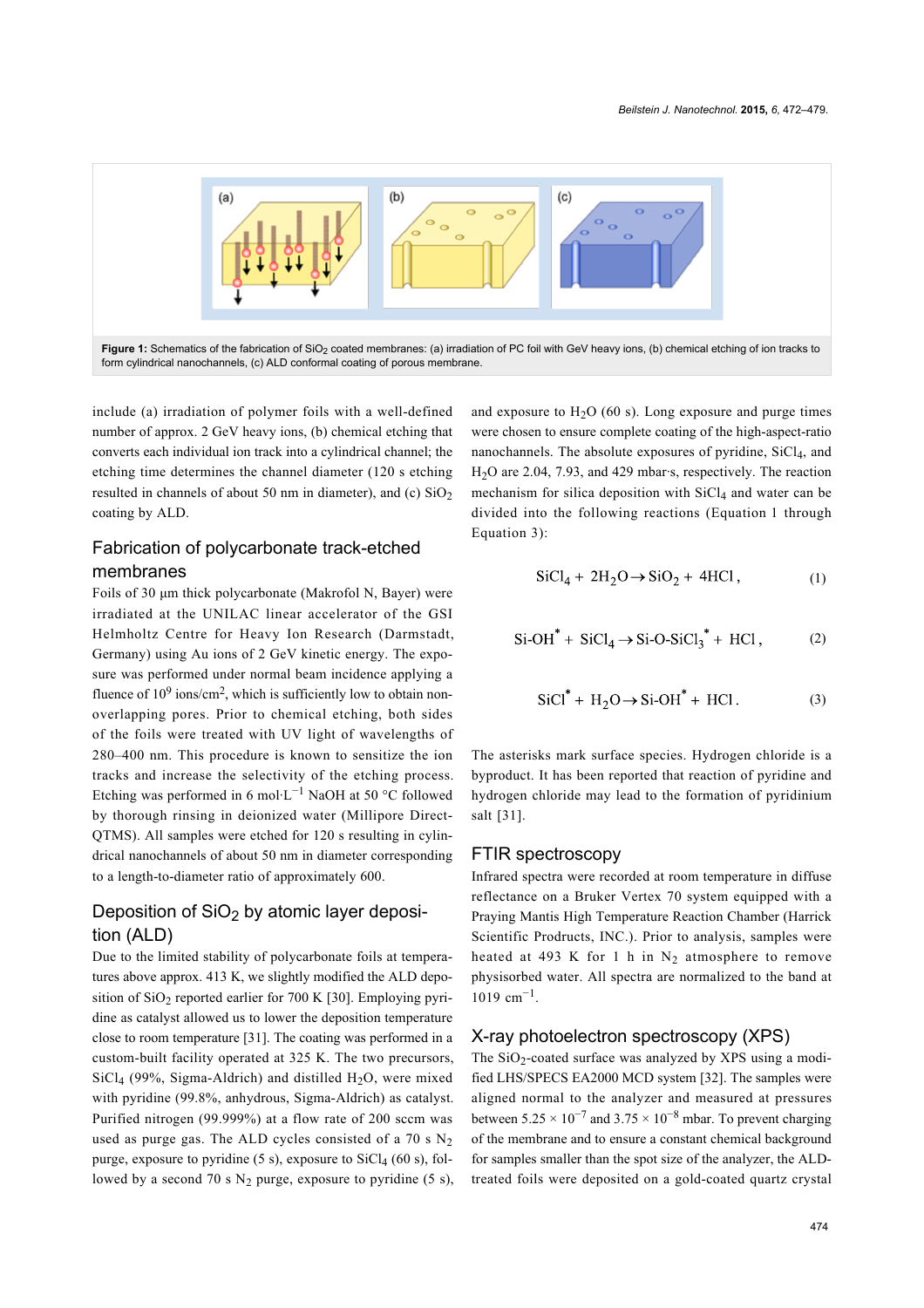<span id="page-2-0"></span>

include (a) irradiation of polymer foils with a well-defined number of approx. 2 GeV heavy ions, (b) chemical etching that converts each individual ion track into a cylindrical channel; the etching time determines the channel diameter (120 s etching resulted in channels of about 50 nm in diameter), and (c)  $SiO<sub>2</sub>$ coating by ALD.

### Fabrication of polycarbonate track-etched membranes

Foils of 30 μm thick polycarbonate (Makrofol N, Bayer) were irradiated at the UNILAC linear accelerator of the GSI Helmholtz Centre for Heavy Ion Research (Darmstadt, Germany) using Au ions of 2 GeV kinetic energy. The exposure was performed under normal beam incidence applying a fluence of  $10^9$  ions/cm<sup>2</sup>, which is sufficiently low to obtain nonoverlapping pores. Prior to chemical etching, both sides of the foils were treated with UV light of wavelengths of 280–400 nm. This procedure is known to sensitize the ion tracks and increase the selectivity of the etching process. Etching was performed in 6 mol·L<sup>-1</sup> NaOH at 50 °C followed by thorough rinsing in deionized water (Millipore Direct-QTMS). All samples were etched for 120 s resulting in cylindrical nanochannels of about 50 nm in diameter corresponding to a length-to-diameter ratio of approximately 600.

# Deposition of  $SiO<sub>2</sub>$  by atomic layer deposition (ALD)

Due to the limited stability of polycarbonate foils at temperatures above approx. 413 K, we slightly modified the ALD depo-sition of SiO<sub>2</sub> reported earlier for 700 K [\[30\].](#page-7-5) Employing pyridine as catalyst allowed us to lower the deposition temperature close to room temperature [\[31\].](#page-7-6) The coating was performed in a custom-built facility operated at 325 K. The two precursors,  $SiCl<sub>4</sub>$  (99%, Sigma-Aldrich) and distilled H<sub>2</sub>O, were mixed with pyridine (99.8%, anhydrous, Sigma-Aldrich) as catalyst. Purified nitrogen (99.999%) at a flow rate of 200 sccm was used as purge gas. The ALD cycles consisted of a 70 s  $N_2$ purge, exposure to pyridine  $(5 \text{ s})$ , exposure to  $\text{SiCl}_4$   $(60 \text{ s})$ , followed by a second 70 s  $N_2$  purge, exposure to pyridine (5 s),

and exposure to  $H<sub>2</sub>O$  (60 s). Long exposure and purge times were chosen to ensure complete coating of the high-aspect-ratio nanochannels. The absolute exposures of pyridine,  $SiCl<sub>4</sub>$ , and H2O are 2.04, 7.93, and 429 mbar·s, respectively. The reaction mechanism for silica deposition with  $SiCl<sub>4</sub>$  and water can be divided into the following reactions ([Equation 1](#page-2-1) through [Equation 3\)](#page-2-2):

<span id="page-2-1"></span>
$$
SiCl4 + 2H2O \rightarrow SiO2 + 4HCl, \t(1)
$$

$$
\text{Si-OH}^* + \text{SiCl}_4 \rightarrow \text{Si-O-SiCl}_3^* + \text{HCl},\tag{2}
$$

<span id="page-2-2"></span>
$$
\text{SiCl}^* + \text{H}_2\text{O} \to \text{Si-OH}^* + \text{HCl}. \tag{3}
$$

The asterisks mark surface species. Hydrogen chloride is a byproduct. It has been reported that reaction of pyridine and hydrogen chloride may lead to the formation of pyridinium salt [\[31\]](#page-7-6).

#### FTIR spectroscopy

Infrared spectra were recorded at room temperature in diffuse reflectance on a Bruker Vertex 70 system equipped with a Praying Mantis High Temperature Reaction Chamber (Harrick Scientific Prodructs, INC.). Prior to analysis, samples were heated at 493 K for 1 h in  $N_2$  atmosphere to remove physisorbed water. All spectra are normalized to the band at 1019 cm−<sup>1</sup> .

#### X-ray photoelectron spectroscopy (XPS)

The SiO<sub>2</sub>-coated surface was analyzed by XPS using a modified LHS/SPECS EA2000 MCD system [\[32\].](#page-7-7) The samples were aligned normal to the analyzer and measured at pressures between  $5.25 \times 10^{-7}$  and  $3.75 \times 10^{-8}$  mbar. To prevent charging of the membrane and to ensure a constant chemical background for samples smaller than the spot size of the analyzer, the ALDtreated foils were deposited on a gold-coated quartz crystal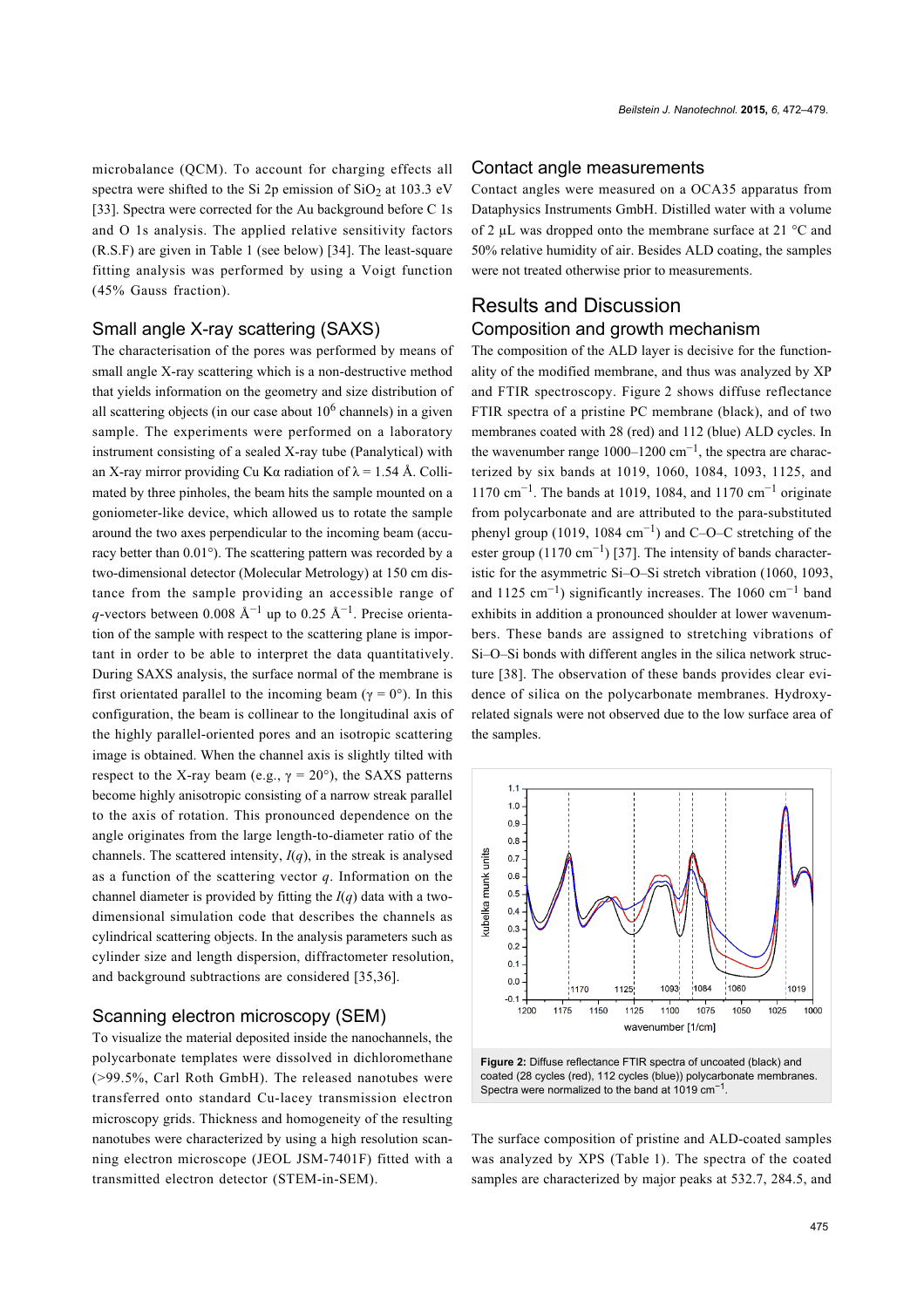microbalance (QCM). To account for charging effects all spectra were shifted to the Si 2p emission of  $SiO<sub>2</sub>$  at 103.3 eV [\[33\].](#page-7-8) Spectra were corrected for the Au background before C 1s and O 1s analysis. The applied relative sensitivity factors (R.S.F) are given in [Table 1](#page-4-0) (see below) [\[34\]](#page-7-9). The least-square fitting analysis was performed by using a Voigt function (45% Gauss fraction).

#### Small angle X-ray scattering (SAXS)

The characterisation of the pores was performed by means of small angle X-ray scattering which is a non-destructive method that yields information on the geometry and size distribution of all scattering objects (in our case about  $10<sup>6</sup>$  channels) in a given sample. The experiments were performed on a laboratory instrument consisting of a sealed X-ray tube (Panalytical) with an X-ray mirror providing Cu K $\alpha$  radiation of  $\lambda$  = 1.54 Å. Collimated by three pinholes, the beam hits the sample mounted on a goniometer-like device, which allowed us to rotate the sample around the two axes perpendicular to the incoming beam (accuracy better than 0.01°). The scattering pattern was recorded by a two-dimensional detector (Molecular Metrology) at 150 cm distance from the sample providing an accessible range of q-vectors between 0.008  $\AA^{-1}$  up to 0.25  $\AA^{-1}$ . Precise orientation of the sample with respect to the scattering plane is important in order to be able to interpret the data quantitatively. During SAXS analysis, the surface normal of the membrane is first orientated parallel to the incoming beam ( $\gamma = 0^{\circ}$ ). In this configuration, the beam is collinear to the longitudinal axis of the highly parallel-oriented pores and an isotropic scattering image is obtained. When the channel axis is slightly tilted with respect to the X-ray beam (e.g.,  $\gamma = 20^{\circ}$ ), the SAXS patterns become highly anisotropic consisting of a narrow streak parallel to the axis of rotation. This pronounced dependence on the angle originates from the large length-to-diameter ratio of the channels. The scattered intensity,  $I(q)$ , in the streak is analysed as a function of the scattering vector *q*. Information on the channel diameter is provided by fitting the *I*(*q*) data with a twodimensional simulation code that describes the channels as cylindrical scattering objects. In the analysis parameters such as cylinder size and length dispersion, diffractometer resolution, and background subtractions are considered [\[35,36\]](#page-7-10).

#### Scanning electron microscopy (SEM)

To visualize the material deposited inside the nanochannels, the polycarbonate templates were dissolved in dichloromethane (>99.5%, Carl Roth GmbH). The released nanotubes were transferred onto standard Cu-lacey transmission electron microscopy grids. Thickness and homogeneity of the resulting nanotubes were characterized by using a high resolution scanning electron microscope (JEOL JSM-7401F) fitted with a transmitted electron detector (STEM-in-SEM).

#### Contact angle measurements

Contact angles were measured on a OCA35 apparatus from Dataphysics Instruments GmbH. Distilled water with a volume of 2 µL was dropped onto the membrane surface at 21 °C and 50% relative humidity of air. Besides ALD coating, the samples were not treated otherwise prior to measurements.

# Results and Discussion Composition and growth mechanism

The composition of the ALD layer is decisive for the functionality of the modified membrane, and thus was analyzed by XP and FTIR spectroscopy. [Figure 2](#page-3-0) shows diffuse reflectance FTIR spectra of a pristine PC membrane (black), and of two membranes coated with 28 (red) and 112 (blue) ALD cycles. In the wavenumber range  $1000-1200$  cm<sup>-1</sup>, the spectra are characterized by six bands at 1019, 1060, 1084, 1093, 1125, and 1170 cm<sup>-1</sup>. The bands at 1019, 1084, and 1170 cm<sup>-1</sup> originate from polycarbonate and are attributed to the para-substituted phenyl group (1019, 1084 cm<sup>-1</sup>) and C–O–C stretching of the ester group  $(1170 \text{ cm}^{-1})$  [\[37\]](#page-7-11). The intensity of bands characteristic for the asymmetric Si–O–Si stretch vibration (1060, 1093, and 1125 cm−<sup>1</sup> ) significantly increases. The 1060 cm−<sup>1</sup> band exhibits in addition a pronounced shoulder at lower wavenumbers. These bands are assigned to stretching vibrations of Si–O–Si bonds with different angles in the silica network structure [\[38\].](#page-7-12) The observation of these bands provides clear evidence of silica on the polycarbonate membranes. Hydroxyrelated signals were not observed due to the low surface area of the samples.

<span id="page-3-0"></span>

The surface composition of pristine and ALD-coated samples was analyzed by XPS [\(Table 1](#page-4-0)). The spectra of the coated samples are characterized by major peaks at 532.7, 284.5, and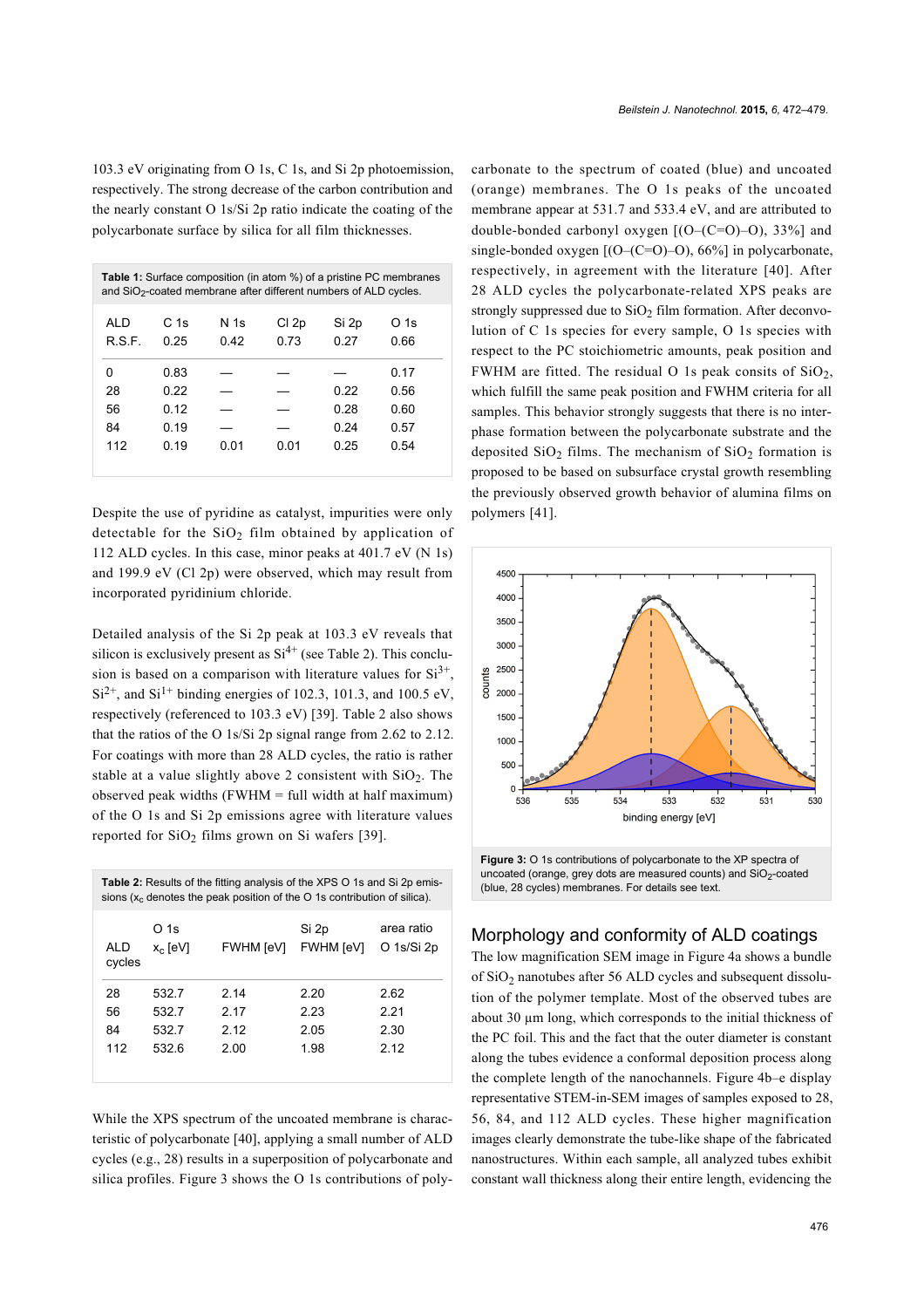103.3 eV originating from O 1s, C 1s, and Si 2p photoemission, respectively. The strong decrease of the carbon contribution and the nearly constant O 1s/Si 2p ratio indicate the coating of the polycarbonate surface by silica for all film thicknesses.

<span id="page-4-0"></span>

| C 1s<br>N 1s<br>Cl 2p<br>AI D<br>Si 2p<br>O 1s<br>R.S.F.<br>0.73<br>0.27<br>0.25<br>0.66<br>0.42<br>0.83<br>0.17<br>0<br>28<br>0.22<br>0.22<br>0.56<br>56<br>0 12<br>0.28<br>0.60<br>84<br>0.24<br>0 19<br>0.57<br>112<br>0.25<br>0 19<br>0 01<br>0.01<br>0.54 | <b>Table 1:</b> Surface composition (in atom %) of a pristine PC membranes<br>and $SiO2$ -coated membrane after different numbers of ALD cycles. |  |  |  |  |  |
|----------------------------------------------------------------------------------------------------------------------------------------------------------------------------------------------------------------------------------------------------------------|--------------------------------------------------------------------------------------------------------------------------------------------------|--|--|--|--|--|
|                                                                                                                                                                                                                                                                |                                                                                                                                                  |  |  |  |  |  |
|                                                                                                                                                                                                                                                                |                                                                                                                                                  |  |  |  |  |  |

Despite the use of pyridine as catalyst, impurities were only detectable for the  $SiO<sub>2</sub>$  film obtained by application of 112 ALD cycles. In this case, minor peaks at 401.7 eV (N 1s) and 199.9 eV (Cl 2p) were observed, which may result from incorporated pyridinium chloride.

Detailed analysis of the Si 2p peak at 103.3 eV reveals that silicon is exclusively present as  $Si<sup>4+</sup>$  (see [Table 2](#page-4-1)). This conclusion is based on a comparison with literature values for  $Si^{3+}$ ,  $Si^{2+}$ , and  $Si^{1+}$  binding energies of 102.3, 101.3, and 100.5 eV, respectively (referenced to 103.3 eV) [\[39\].](#page-7-13) [Table 2](#page-4-1) also shows that the ratios of the O 1s/Si 2p signal range from 2.62 to 2.12. For coatings with more than 28 ALD cycles, the ratio is rather stable at a value slightly above 2 consistent with  $SiO<sub>2</sub>$ . The observed peak widths  $(FWHM = full width at half maximum)$ of the O 1s and Si 2p emissions agree with literature values reported for  $SiO<sub>2</sub>$  films grown on Si wafers [\[39\].](#page-7-13)

<span id="page-4-1"></span>

| <b>Table 2:</b> Results of the fitting analysis of the XPS O 1s and Si 2p emis-<br>sions $(xc$ denotes the peak position of the O 1s contribution of silica). |                    |                  |                           |                          |  |
|---------------------------------------------------------------------------------------------------------------------------------------------------------------|--------------------|------------------|---------------------------|--------------------------|--|
| ALD<br>cycles                                                                                                                                                 | O 1s<br>$x_c$ [eV] | <b>FWHM</b> [eV] | Si 2p<br><b>FWHM</b> [eV] | area ratio<br>O 1s/Si 2p |  |
| 28                                                                                                                                                            | 532.7              | 2 14             | 2.20                      | 2.62                     |  |
| 56                                                                                                                                                            | 532.7              | 2 17             | 2.23                      | 2.21                     |  |
| 84                                                                                                                                                            | 532.7              | 2 1 2            | 2.05                      | 2.30                     |  |
| 112                                                                                                                                                           | 532.6              | 2.00             | 1.98                      | 2 12                     |  |
|                                                                                                                                                               |                    |                  |                           |                          |  |

While the XPS spectrum of the uncoated membrane is characteristic of polycarbonate [\[40\]](#page-7-14), applying a small number of ALD cycles (e.g., 28) results in a superposition of polycarbonate and silica profiles. [Figure 3](#page-4-2) shows the O 1s contributions of polycarbonate to the spectrum of coated (blue) and uncoated (orange) membranes. The O 1s peaks of the uncoated membrane appear at 531.7 and 533.4 eV, and are attributed to double-bonded carbonyl oxygen  $[(O-(C=O))-O)$ , 33%] and single-bonded oxygen  $[(O-(C=O)-O), 66\%]$  in polycarbonate, respectively, in agreement with the literature [\[40\]](#page-7-14). After 28 ALD cycles the polycarbonate-related XPS peaks are strongly suppressed due to  $SiO<sub>2</sub>$  film formation. After deconvolution of C 1s species for every sample, O 1s species with respect to the PC stoichiometric amounts, peak position and FWHM are fitted. The residual O 1s peak consits of  $SiO<sub>2</sub>$ , which fulfill the same peak position and FWHM criteria for all samples. This behavior strongly suggests that there is no interphase formation between the polycarbonate substrate and the deposited  $SiO<sub>2</sub>$  films. The mechanism of  $SiO<sub>2</sub>$  formation is proposed to be based on subsurface crystal growth resembling the previously observed growth behavior of alumina films on polymers [\[41\]](#page-7-15).

<span id="page-4-2"></span>

uncoated (orange, grey dots are measured counts) and  $SiO<sub>2</sub>$ -coated (blue, 28 cycles) membranes. For details see text.

# Morphology and conformity of ALD coatings

The low magnification SEM image in [Figure 4a](#page-5-0) shows a bundle of  $SiO<sub>2</sub>$  nanotubes after 56 ALD cycles and subsequent dissolution of the polymer template. Most of the observed tubes are about 30 µm long, which corresponds to the initial thickness of the PC foil. This and the fact that the outer diameter is constant along the tubes evidence a conformal deposition process along the complete length of the nanochannels. [Figure 4b](#page-5-0)–e display representative STEM-in-SEM images of samples exposed to 28, 56, 84, and 112 ALD cycles. These higher magnification images clearly demonstrate the tube-like shape of the fabricated nanostructures. Within each sample, all analyzed tubes exhibit constant wall thickness along their entire length, evidencing the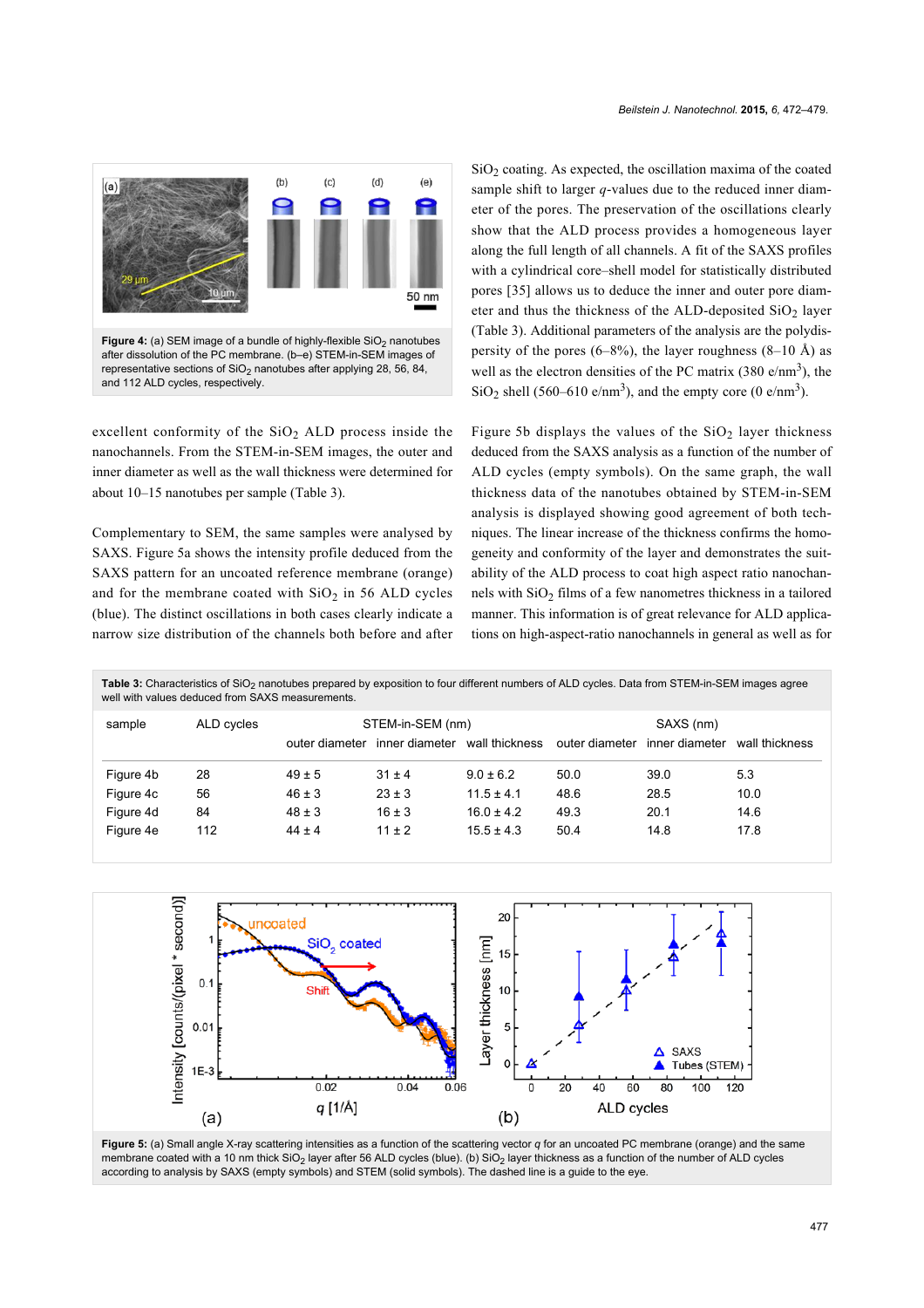<span id="page-5-0"></span>

excellent conformity of the  $SiO<sub>2</sub>$  ALD process inside the nanochannels. From the STEM-in-SEM images, the outer and inner diameter as well as the wall thickness were determined for about 10–15 nanotubes per sample [\(Table 3](#page-5-1)).

Complementary to SEM, the same samples were analysed by SAXS. [Figure 5a](#page-5-2) shows the intensity profile deduced from the SAXS pattern for an uncoated reference membrane (orange) and for the membrane coated with  $SiO<sub>2</sub>$  in 56 ALD cycles (blue). The distinct oscillations in both cases clearly indicate a narrow size distribution of the channels both before and after

 $SiO<sub>2</sub>$  coating. As expected, the oscillation maxima of the coated sample shift to larger *q*-values due to the reduced inner diameter of the pores. The preservation of the oscillations clearly show that the ALD process provides a homogeneous layer along the full length of all channels. A fit of the SAXS profiles with a cylindrical core–shell model for statistically distributed pores [\[35\]](#page-7-10) allows us to deduce the inner and outer pore diameter and thus the thickness of the ALD-deposited  $SiO<sub>2</sub>$  layer ([Table 3\)](#page-5-1). Additional parameters of the analysis are the polydispersity of the pores  $(6-8\%)$ , the layer roughness  $(8-10 \text{ Å})$  as well as the electron densities of the PC matrix  $(380 \text{ e/nm}^3)$ , the  $SiO<sub>2</sub>$  shell (560–610 e/nm<sup>3</sup>), and the empty core (0 e/nm<sup>3</sup>).

[Figure 5b](#page-5-2) displays the values of the  $SiO<sub>2</sub>$  layer thickness deduced from the SAXS analysis as a function of the number of ALD cycles (empty symbols). On the same graph, the wall thickness data of the nanotubes obtained by STEM-in-SEM analysis is displayed showing good agreement of both techniques. The linear increase of the thickness confirms the homogeneity and conformity of the layer and demonstrates the suitability of the ALD process to coat high aspect ratio nanochannels with SiO<sub>2</sub> films of a few nanometres thickness in a tailored manner. This information is of great relevance for ALD applications on high-aspect-ratio nanochannels in general as well as for

<span id="page-5-1"></span>Table 3: Characteristics of SiO<sub>2</sub> nanotubes prepared by exposition to four different numbers of ALD cycles. Data from STEM-in-SEM images agree well with values deduced from SAXS measurements.

| sample    | ALD cycles | STEM-in-SEM (nm) |                |                | SAXS (nm)      |                |                |
|-----------|------------|------------------|----------------|----------------|----------------|----------------|----------------|
|           |            | outer diameter   | inner diameter | wall thickness | outer diameter | inner diameter | wall thickness |
| Figure 4b | 28         | $49 \pm 5$       | $31 \pm 4$     | $9.0 \pm 6.2$  | 50.0           | 39.0           | 5.3            |
| Figure 4c | 56         | $46 \pm 3$       | $23 \pm 3$     | $11.5 \pm 4.1$ | 48.6           | 28.5           | 10.0           |
| Figure 4d | 84         | $48 \pm 3$       | $16 \pm 3$     | $16.0 \pm 4.2$ | 49.3           | 20.1           | 14.6           |
| Figure 4e | 112        | $44 \pm 4$       | $11 \pm 2$     | $15.5 \pm 4.3$ | 50.4           | 14.8           | 17.8           |

<span id="page-5-2"></span>

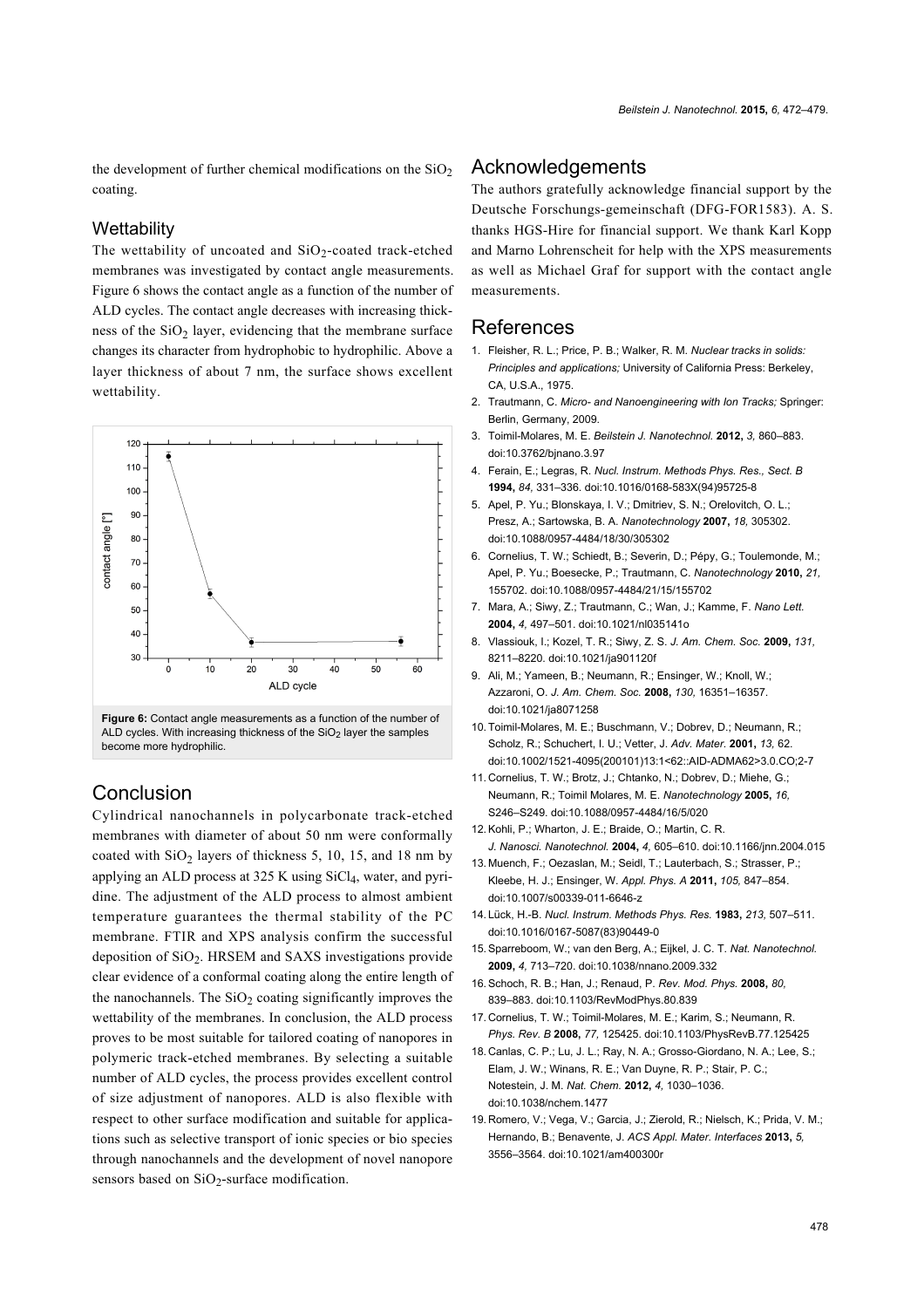the development of further chemical modifications on the  $SiO<sub>2</sub>$ coating.

#### **Wettability**

The wettability of uncoated and  $SiO<sub>2</sub>$ -coated track-etched membranes was investigated by contact angle measurements. [Figure 6](#page-6-13) shows the contact angle as a function of the number of ALD cycles. The contact angle decreases with increasing thickness of the  $SiO<sub>2</sub>$  layer, evidencing that the membrane surface changes its character from hydrophobic to hydrophilic. Above a layer thickness of about 7 nm, the surface shows excellent wettability.

<span id="page-6-13"></span>

become more hydrophilic.

### Conclusion

Cylindrical nanochannels in polycarbonate track-etched membranes with diameter of about 50 nm were conformally coated with  $SiO<sub>2</sub>$  layers of thickness 5, 10, 15, and 18 nm by applying an ALD process at  $325$  K using SiCl<sub>4</sub>, water, and pyridine. The adjustment of the ALD process to almost ambient temperature guarantees the thermal stability of the PC membrane. FTIR and XPS analysis confirm the successful deposition of  $SiO<sub>2</sub>$ . HRSEM and SAXS investigations provide clear evidence of a conformal coating along the entire length of the nanochannels. The  $SiO<sub>2</sub>$  coating significantly improves the wettability of the membranes. In conclusion, the ALD process proves to be most suitable for tailored coating of nanopores in polymeric track-etched membranes. By selecting a suitable number of ALD cycles, the process provides excellent control of size adjustment of nanopores. ALD is also flexible with respect to other surface modification and suitable for applications such as selective transport of ionic species or bio species through nanochannels and the development of novel nanopore sensors based on  $SiO<sub>2</sub>$ -surface modification.

### **Acknowledgements**

The authors gratefully acknowledge financial support by the Deutsche Forschungs-gemeinschaft (DFG-FOR1583). A. S. thanks HGS-Hire for financial support. We thank Karl Kopp and Marno Lohrenscheit for help with the XPS measurements as well as Michael Graf for support with the contact angle measurements.

#### References

- <span id="page-6-0"></span>1. Fleisher, R. L.; Price, P. B.; Walker, R. M. *Nuclear tracks in solids: Principles and applications;* University of California Press: Berkeley, CA, U.S.A., 1975.
- 2. Trautmann, C. *Micro- and Nanoengineering with Ion Tracks;* Springer: Berlin, Germany, 2009.
- <span id="page-6-1"></span>3. Toimil-Molares, M. E. *Beilstein J. Nanotechnol.* **2012,** *3,* 860–883. [doi:10.3762/bjnano.3.97](http://dx.doi.org/10.3762%2Fbjnano.3.97)
- <span id="page-6-2"></span>4. Ferain, E.; Legras, R. *Nucl. Instrum. Methods Phys. Res., Sect. B* **1994,** *84,* 331–336. [doi:10.1016/0168-583X\(94\)95725-8](http://dx.doi.org/10.1016%2F0168-583X%2894%2995725-8)
- <span id="page-6-3"></span>5. Apel, P. Yu.; Blonskaya, I. V.; Dmitriev, S. N.; Orelovitch, O. L.; Presz, A.; Sartowska, B. A. *Nanotechnology* **2007,** *18,* 305302. [doi:10.1088/0957-4484/18/30/305302](http://dx.doi.org/10.1088%2F0957-4484%2F18%2F30%2F305302)
- 6. Cornelius, T. W.; Schiedt, B.; Severin, D.; Pépy, G.; Toulemonde, M.; Apel, P. Yu.; Boesecke, P.; Trautmann, C. *Nanotechnology* **2010,** *21,* 155702. [doi:10.1088/0957-4484/21/15/155702](http://dx.doi.org/10.1088%2F0957-4484%2F21%2F15%2F155702)
- <span id="page-6-4"></span>7. Mara, A.; Siwy, Z.; Trautmann, C.; Wan, J.; Kamme, F. *Nano Lett.* **2004,** *4,* 497–501. [doi:10.1021/nl035141o](http://dx.doi.org/10.1021%2Fnl035141o)
- 8. Vlassiouk, I.; Kozel, T. R.; Siwy, Z. S. *J. Am. Chem. Soc.* **2009,** *131,* 8211–8220. [doi:10.1021/ja901120f](http://dx.doi.org/10.1021%2Fja901120f)
- <span id="page-6-5"></span>9. Ali, M.; Yameen, B.; Neumann, R.; Ensinger, W.; Knoll, W.; Azzaroni, O. *J. Am. Chem. Soc.* **2008,** *130,* 16351–16357. [doi:10.1021/ja8071258](http://dx.doi.org/10.1021%2Fja8071258)
- <span id="page-6-6"></span>10.Toimil-Molares, M. E.; Buschmann, V.; Dobrev, D.; Neumann, R.; Scholz, R.; Schuchert, I. U.; Vetter, J. *Adv. Mater.* **2001,** *13,* 62. [doi:10.1002/1521-4095\(200101\)13:1<62::AID-ADMA62>3.0.CO;2-7](http://dx.doi.org/10.1002%2F1521-4095%28200101%2913%3A1%3C62%3A%3AAID-ADMA62%3E3.0.CO%3B2-7)
- 11. Cornelius, T. W.; Brotz, J.; Chtanko, N.; Dobrev, D.; Miehe, G.; Neumann, R.; Toimil Molares, M. E. *Nanotechnology* **2005,** *16,* S246–S249. [doi:10.1088/0957-4484/16/5/020](http://dx.doi.org/10.1088%2F0957-4484%2F16%2F5%2F020)
- <span id="page-6-7"></span>12.Kohli, P.; Wharton, J. E.; Braide, O.; Martin, C. R. *J. Nanosci. Nanotechnol.* **2004,** *4,* 605–610. [doi:10.1166/jnn.2004.015](http://dx.doi.org/10.1166%2Fjnn.2004.015)
- 13. Muench, F.; Oezaslan, M.; Seidl, T.; Lauterbach, S.; Strasser, P.; Kleebe, H. J.; Ensinger, W. *Appl. Phys. A* **2011,** *105,* 847–854. [doi:10.1007/s00339-011-6646-z](http://dx.doi.org/10.1007%2Fs00339-011-6646-z)
- <span id="page-6-8"></span>14. Lück, H.-B. *Nucl. Instrum. Methods Phys. Res.* **1983,** *213,* 507–511. [doi:10.1016/0167-5087\(83\)90449-0](http://dx.doi.org/10.1016%2F0167-5087%2883%2990449-0)
- <span id="page-6-9"></span>15.Sparreboom, W.; van den Berg, A.; Eijkel, J. C. T. *Nat. Nanotechnol.* **2009,** *4,* 713–720. [doi:10.1038/nnano.2009.332](http://dx.doi.org/10.1038%2Fnnano.2009.332)
- 16.Schoch, R. B.; Han, J.; Renaud, P. *Rev. Mod. Phys.* **2008,** *80,* 839–883. [doi:10.1103/RevModPhys.80.839](http://dx.doi.org/10.1103%2FRevModPhys.80.839)
- <span id="page-6-10"></span>17. Cornelius, T. W.; Toimil-Molares, M. E.; Karim, S.; Neumann, R. *Phys. Rev. B* **2008,** *77,* 125425. [doi:10.1103/PhysRevB.77.125425](http://dx.doi.org/10.1103%2FPhysRevB.77.125425)
- <span id="page-6-11"></span>18. Canlas, C. P.; Lu, J. L.; Ray, N. A.; Grosso-Giordano, N. A.; Lee, S.; Elam, J. W.; Winans, R. E.; Van Duyne, R. P.; Stair, P. C.; Notestein, J. M. *Nat. Chem.* **2012,** *4,* 1030–1036. [doi:10.1038/nchem.1477](http://dx.doi.org/10.1038%2Fnchem.1477)
- <span id="page-6-12"></span>19. Romero, V.; Vega, V.; Garcia, J.; Zierold, R.; Nielsch, K.; Prida, V. M.; Hernando, B.; Benavente, J. *ACS Appl. Mater. Interfaces* **2013,** *5,* 3556–3564. [doi:10.1021/am400300r](http://dx.doi.org/10.1021%2Fam400300r)